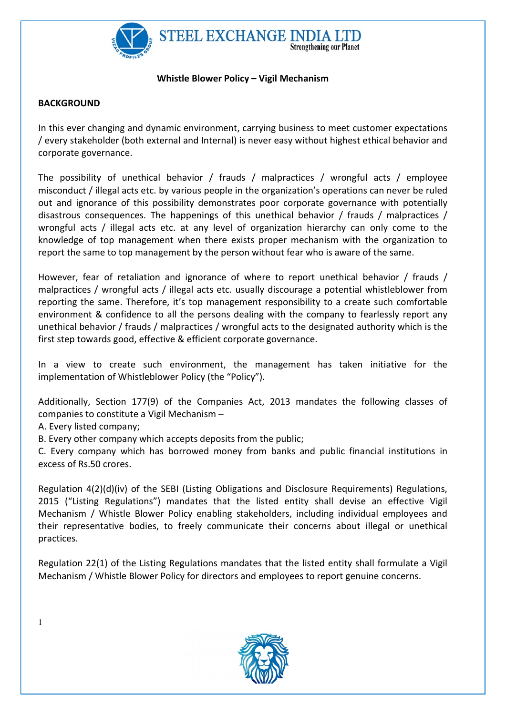

### Whistle Blower Policy – Vigil Mechanism

## **BACKGROUND**

In this ever changing and dynamic environment, carrying business to meet customer expectations / every stakeholder (both external and Internal) is never easy without highest ethical behavior and corporate governance.

The possibility of unethical behavior / frauds / malpractices / wrongful acts / employee misconduct / illegal acts etc. by various people in the organization's operations can never be ruled out and ignorance of this possibility demonstrates poor corporate governance with potentially disastrous consequences. The happenings of this unethical behavior / frauds / malpractices / wrongful acts / illegal acts etc. at any level of organization hierarchy can only come to the knowledge of top management when there exists proper mechanism with the organization to report the same to top management by the person without fear who is aware of the same.

However, fear of retaliation and ignorance of where to report unethical behavior / frauds / malpractices / wrongful acts / illegal acts etc. usually discourage a potential whistleblower from reporting the same. Therefore, it's top management responsibility to a create such comfortable environment & confidence to all the persons dealing with the company to fearlessly report any unethical behavior / frauds / malpractices / wrongful acts to the designated authority which is the first step towards good, effective & efficient corporate governance.

In a view to create such environment, the management has taken initiative for the implementation of Whistleblower Policy (the "Policy").

Additionally, Section 177(9) of the Companies Act, 2013 mandates the following classes of companies to constitute a Vigil Mechanism –

A. Every listed company;

B. Every other company which accepts deposits from the public;

C. Every company which has borrowed money from banks and public financial institutions in excess of Rs.50 crores.

Regulation 4(2)(d)(iv) of the SEBI (Listing Obligations and Disclosure Requirements) Regulations, 2015 ("Listing Regulations") mandates that the listed entity shall devise an effective Vigil Mechanism / Whistle Blower Policy enabling stakeholders, including individual employees and their representative bodies, to freely communicate their concerns about illegal or unethical practices.

Regulation 22(1) of the Listing Regulations mandates that the listed entity shall formulate a Vigil Mechanism / Whistle Blower Policy for directors and employees to report genuine concerns.



1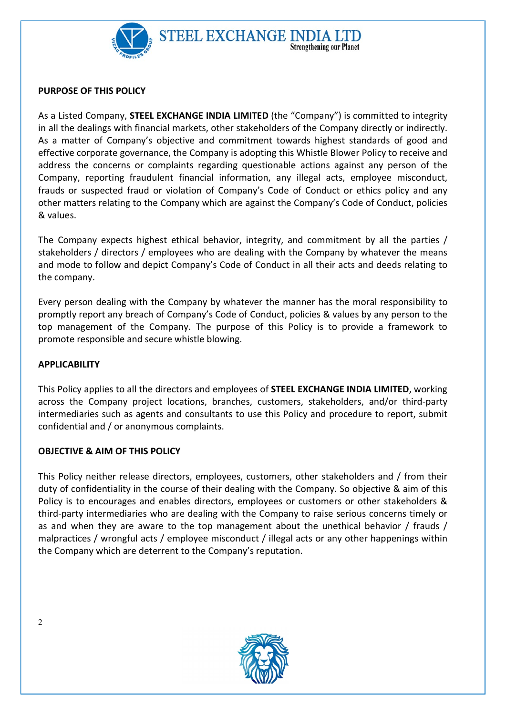

### PURPOSE OF THIS POLICY

As a Listed Company, STEEL EXCHANGE INDIA LIMITED (the "Company") is committed to integrity in all the dealings with financial markets, other stakeholders of the Company directly or indirectly. As a matter of Company's objective and commitment towards highest standards of good and effective corporate governance, the Company is adopting this Whistle Blower Policy to receive and address the concerns or complaints regarding questionable actions against any person of the Company, reporting fraudulent financial information, any illegal acts, employee misconduct, frauds or suspected fraud or violation of Company's Code of Conduct or ethics policy and any other matters relating to the Company which are against the Company's Code of Conduct, policies & values.

The Company expects highest ethical behavior, integrity, and commitment by all the parties / stakeholders / directors / employees who are dealing with the Company by whatever the means and mode to follow and depict Company's Code of Conduct in all their acts and deeds relating to the company.

Every person dealing with the Company by whatever the manner has the moral responsibility to promptly report any breach of Company's Code of Conduct, policies & values by any person to the top management of the Company. The purpose of this Policy is to provide a framework to promote responsible and secure whistle blowing.

### APPLICABILITY

This Policy applies to all the directors and employees of STEEL EXCHANGE INDIA LIMITED, working across the Company project locations, branches, customers, stakeholders, and/or third-party intermediaries such as agents and consultants to use this Policy and procedure to report, submit confidential and / or anonymous complaints.

### OBJECTIVE & AIM OF THIS POLICY

This Policy neither release directors, employees, customers, other stakeholders and / from their duty of confidentiality in the course of their dealing with the Company. So objective & aim of this Policy is to encourages and enables directors, employees or customers or other stakeholders & third-party intermediaries who are dealing with the Company to raise serious concerns timely or as and when they are aware to the top management about the unethical behavior / frauds / malpractices / wrongful acts / employee misconduct / illegal acts or any other happenings within the Company which are deterrent to the Company's reputation.



2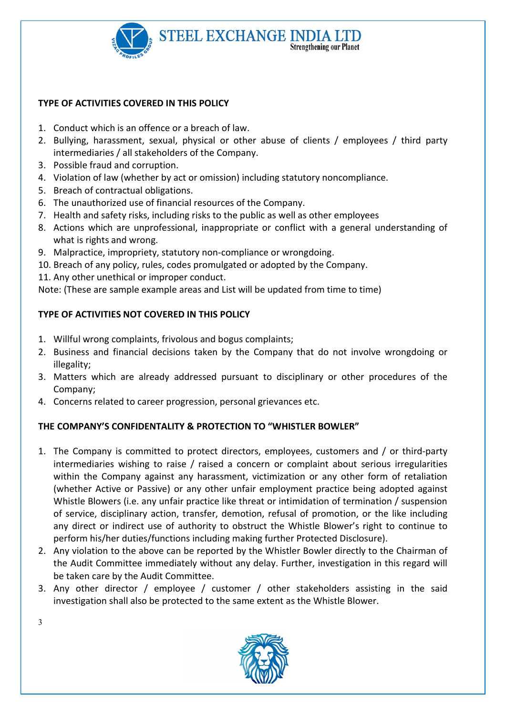

## TYPE OF ACTIVITIES COVERED IN THIS POLICY

- 1. Conduct which is an offence or a breach of law.
- 2. Bullying, harassment, sexual, physical or other abuse of clients / employees / third party intermediaries / all stakeholders of the Company.
- 3. Possible fraud and corruption.
- 4. Violation of law (whether by act or omission) including statutory noncompliance.
- 5. Breach of contractual obligations.
- 6. The unauthorized use of financial resources of the Company.
- 7. Health and safety risks, including risks to the public as well as other employees
- 8. Actions which are unprofessional, inappropriate or conflict with a general understanding of what is rights and wrong.
- 9. Malpractice, impropriety, statutory non-compliance or wrongdoing.
- 10. Breach of any policy, rules, codes promulgated or adopted by the Company.
- 11. Any other unethical or improper conduct.

Note: (These are sample example areas and List will be updated from time to time)

# TYPE OF ACTIVITIES NOT COVERED IN THIS POLICY

- 1. Willful wrong complaints, frivolous and bogus complaints;
- 2. Business and financial decisions taken by the Company that do not involve wrongdoing or illegality;
- 3. Matters which are already addressed pursuant to disciplinary or other procedures of the Company;
- 4. Concerns related to career progression, personal grievances etc.

# THE COMPANY'S CONFIDENTALITY & PROTECTION TO "WHISTLER BOWLER"

- 1. The Company is committed to protect directors, employees, customers and / or third-party intermediaries wishing to raise / raised a concern or complaint about serious irregularities within the Company against any harassment, victimization or any other form of retaliation (whether Active or Passive) or any other unfair employment practice being adopted against Whistle Blowers (i.e. any unfair practice like threat or intimidation of termination / suspension of service, disciplinary action, transfer, demotion, refusal of promotion, or the like including any direct or indirect use of authority to obstruct the Whistle Blower's right to continue to perform his/her duties/functions including making further Protected Disclosure).
- 2. Any violation to the above can be reported by the Whistler Bowler directly to the Chairman of the Audit Committee immediately without any delay. Further, investigation in this regard will be taken care by the Audit Committee.
- 3. Any other director / employee / customer / other stakeholders assisting in the said investigation shall also be protected to the same extent as the Whistle Blower.



3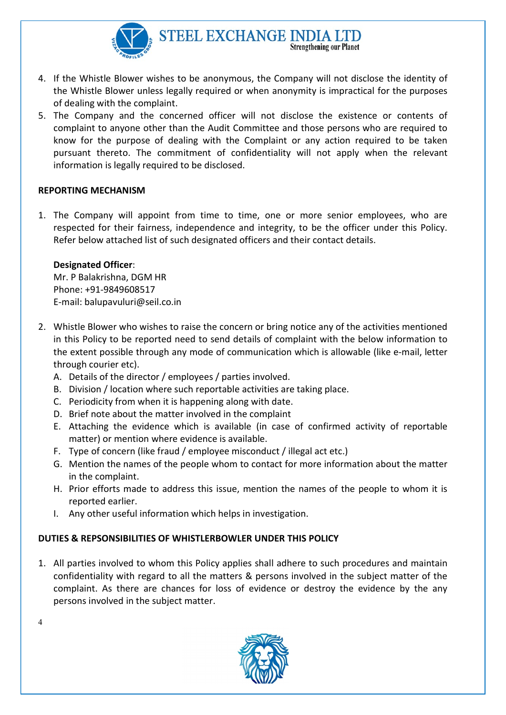

- 4. If the Whistle Blower wishes to be anonymous, the Company will not disclose the identity of the Whistle Blower unless legally required or when anonymity is impractical for the purposes of dealing with the complaint.
- 5. The Company and the concerned officer will not disclose the existence or contents of complaint to anyone other than the Audit Committee and those persons who are required to know for the purpose of dealing with the Complaint or any action required to be taken pursuant thereto. The commitment of confidentiality will not apply when the relevant information is legally required to be disclosed.

### REPORTING MECHANISM

1. The Company will appoint from time to time, one or more senior employees, who are respected for their fairness, independence and integrity, to be the officer under this Policy. Refer below attached list of such designated officers and their contact details.

### Designated Officer:

Mr. P Balakrishna, DGM HR Phone: +91-9849608517 E-mail: balupavuluri@seil.co.in

- 2. Whistle Blower who wishes to raise the concern or bring notice any of the activities mentioned in this Policy to be reported need to send details of complaint with the below information to the extent possible through any mode of communication which is allowable (like e-mail, letter through courier etc).
	- A. Details of the director / employees / parties involved.
	- B. Division / location where such reportable activities are taking place.
	- C. Periodicity from when it is happening along with date.
	- D. Brief note about the matter involved in the complaint
	- E. Attaching the evidence which is available (in case of confirmed activity of reportable matter) or mention where evidence is available.
	- F. Type of concern (like fraud / employee misconduct / illegal act etc.)
	- G. Mention the names of the people whom to contact for more information about the matter in the complaint.
	- H. Prior efforts made to address this issue, mention the names of the people to whom it is reported earlier.
	- I. Any other useful information which helps in investigation.

## DUTIES & REPSONSIBILITIES OF WHISTLERBOWLER UNDER THIS POLICY

1. All parties involved to whom this Policy applies shall adhere to such procedures and maintain confidentiality with regard to all the matters & persons involved in the subject matter of the complaint. As there are chances for loss of evidence or destroy the evidence by the any persons involved in the subject matter.



 $\Delta$